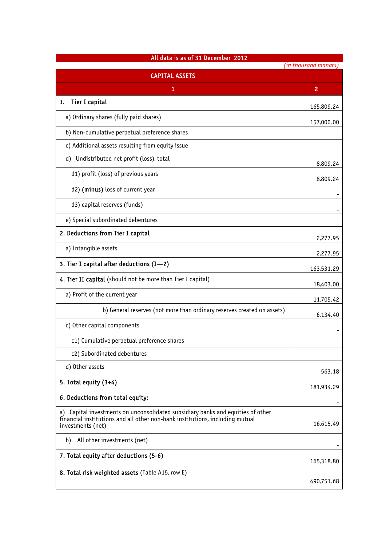| All data is as of 31 December 2012<br>(in thousand manats)                                                                                                                           |            |  |
|--------------------------------------------------------------------------------------------------------------------------------------------------------------------------------------|------------|--|
| <b>CAPITAL ASSETS</b>                                                                                                                                                                |            |  |
| 1                                                                                                                                                                                    | 2          |  |
| <b>Tier I capital</b><br>1.                                                                                                                                                          | 165,809.24 |  |
| a) Ordinary shares (fully paid shares)                                                                                                                                               | 157,000.00 |  |
| b) Non-cumulative perpetual preference shares                                                                                                                                        |            |  |
| c) Additional assets resulting from equity issue                                                                                                                                     |            |  |
| d) Undistributed net profit (loss), total                                                                                                                                            | 8,809.24   |  |
| d1) profit (loss) of previous years                                                                                                                                                  | 8,809.24   |  |
| d2) (minus) loss of current year                                                                                                                                                     |            |  |
| d3) capital reserves (funds)                                                                                                                                                         |            |  |
| e) Special subordinated debentures                                                                                                                                                   |            |  |
| 2. Deductions from Tier I capital                                                                                                                                                    | 2,277.95   |  |
| a) Intangible assets                                                                                                                                                                 | 2,277.95   |  |
| 3. Tier I capital after deductions (I-2)                                                                                                                                             | 163,531.29 |  |
| 4. Tier II capital (should not be more than Tier I capital)                                                                                                                          | 18,403.00  |  |
| a) Profit of the current year                                                                                                                                                        | 11,705.42  |  |
| b) General reserves (not more than ordinary reserves created on assets)                                                                                                              | 6,134.40   |  |
| c) Other capital components                                                                                                                                                          |            |  |
| c1) Cumulative perpetual preference shares                                                                                                                                           |            |  |
| c2) Subordinated debentures                                                                                                                                                          |            |  |
| d) Other assets                                                                                                                                                                      | 563.18     |  |
| 5. Total equity $(3+4)$                                                                                                                                                              | 181,934.29 |  |
| 6. Deductions from total equity:                                                                                                                                                     |            |  |
| a) Capital investments on unconsolidated subsidiary banks and equities of other<br>financial institutions and all other non-bank institutions, including mutual<br>investments (net) | 16,615.49  |  |
| All other investments (net)<br>b)                                                                                                                                                    |            |  |
| 7. Total equity after deductions (5-6)                                                                                                                                               | 165,318.80 |  |
| 8. Total risk weighted assets (Table A15, row E)                                                                                                                                     |            |  |
|                                                                                                                                                                                      | 490,751.68 |  |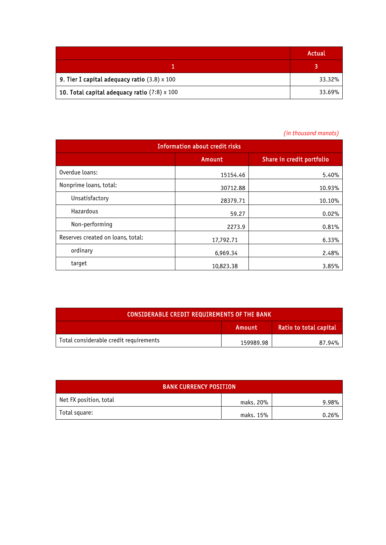|                                                     | Actual |
|-----------------------------------------------------|--------|
|                                                     |        |
| 9. Tier I capital adequacy ratio $(3.8) \times 100$ | 33.32% |
| 10. Total capital adequacy ratio $(7:8) \times 100$ | 33.69% |

## *(in thousand manats)*

| <b>Information about credit risks</b> |           |                           |  |
|---------------------------------------|-----------|---------------------------|--|
|                                       | Amount    | Share in credit portfolio |  |
| Overdue loans:                        | 15154.46  | 5.40%                     |  |
| Nonprime loans, total:                | 30712.88  | 10.93%                    |  |
| Unsatisfactory                        | 28379.71  | 10.10%                    |  |
| Hazardous                             | 59.27     | 0.02%                     |  |
| Non-performing                        | 2273.9    | 0.81%                     |  |
| Reserves created on loans, total:     | 17,792.71 | 6.33%                     |  |
| ordinary                              | 6,969.34  | 2.48%                     |  |
| target                                | 10,823.38 | 3.85%                     |  |

| <b>CONSIDERABLE CREDIT REQUIREMENTS OF THE BANK</b> |           |                        |  |
|-----------------------------------------------------|-----------|------------------------|--|
|                                                     | Amount    | Ratio to total capital |  |
| Total considerable credit requirements              | 159989.98 | 87.94%                 |  |

| <b>BANK CURRENCY POSITION</b> |           |       |  |  |
|-------------------------------|-----------|-------|--|--|
| Net FX position, total        | maks. 20% | 9.98% |  |  |
| Total square:                 | maks. 15% | 0.26% |  |  |